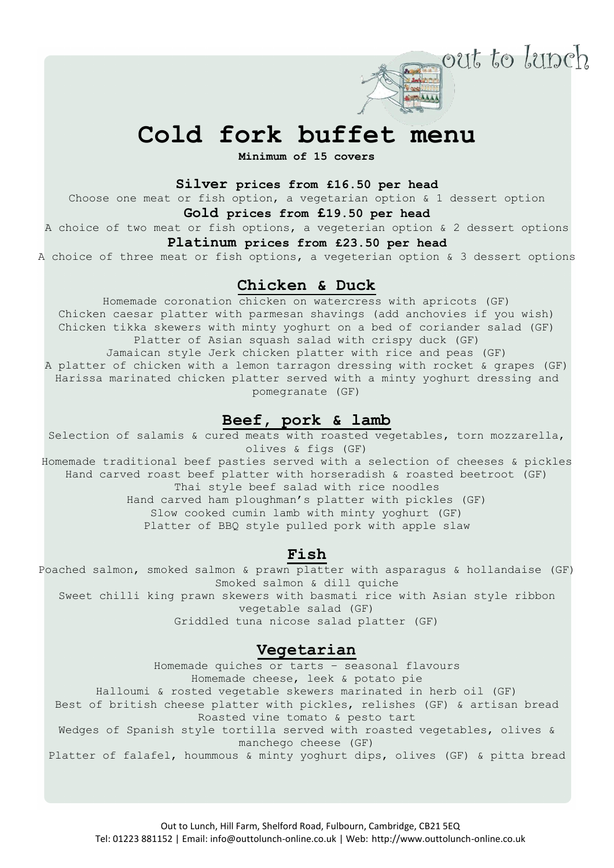

out to lunch

**Minimum of 15 covers** 

### **Silver prices from £16.50 per head**

Choose one meat or fish option, a vegetarian option & 1 dessert option **Gold prices from £19.50 per head**

# A choice of two meat or fish options, a vegeterian option & 2 dessert options

### **Platinum prices from £23.50 per head**

A choice of three meat or fish options, a vegeterian option & 3 dessert options

# **Chicken & Duck**

Homemade coronation chicken on watercress with apricots (GF) Chicken caesar platter with parmesan shavings (add anchovies if you wish) Chicken tikka skewers with minty yoghurt on a bed of coriander salad (GF) Platter of Asian squash salad with crispy duck (GF) Jamaican style Jerk chicken platter with rice and peas (GF) A platter of chicken with a lemon tarragon dressing with rocket & grapes (GF) Harissa marinated chicken platter served with a minty yoghurt dressing and pomegranate (GF)

# **Beef, pork & lamb**

Selection of salamis & cured meats with roasted vegetables, torn mozzarella, olives & figs (GF) Homemade traditional beef pasties served with a selection of cheeses & pickles Hand carved roast beef platter with horseradish & roasted beetroot (GF) Thai style beef salad with rice noodles Hand carved ham ploughman's platter with pickles (GF) Slow cooked cumin lamb with minty yoghurt (GF) Platter of BBQ style pulled pork with apple slaw

# **Fish**

Poached salmon, smoked salmon & prawn platter with asparagus & hollandaise (GF) Smoked salmon & dill quiche

Sweet chilli king prawn skewers with basmati rice with Asian style ribbon vegetable salad (GF)

Griddled tuna nicose salad platter (GF)

## **Vegetarian**

Homemade quiches or tarts – seasonal flavours Homemade cheese, leek & potato pie Halloumi & rosted vegetable skewers marinated in herb oil (GF) Best of british cheese platter with pickles, relishes (GF) & artisan bread Roasted vine tomato & pesto tart Wedges of Spanish style tortilla served with roasted vegetables, olives & manchego cheese (GF) Platter of falafel, hoummous & minty yoghurt dips, olives (GF) & pitta bread